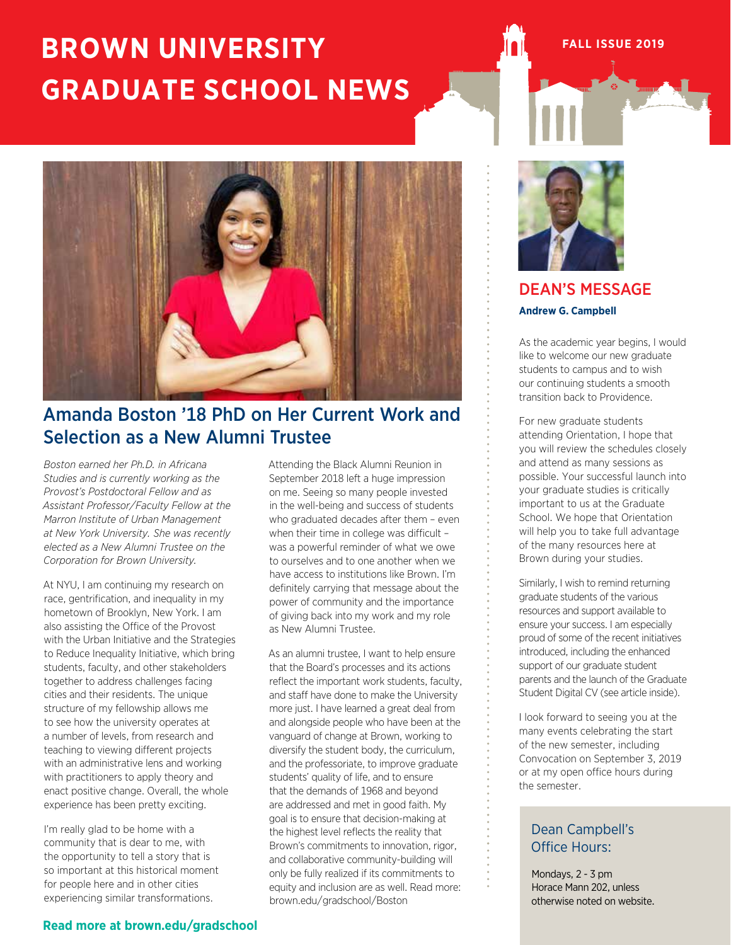## **BROWN UNIVERSITY GRADUATE SCHOOL NEWS**

## Amanda Boston '18 PhD on Her Current Work and Selection as a New Alumni Trustee

*Boston earned her Ph.D. in Africana Studies and is currently working as the Provost's Postdoctoral Fellow and as Assistant Professor/Faculty Fellow at the Marron Institute of Urban Management at New York University. She was recently elected as a New Alumni Trustee on the Corporation for Brown University.*

At NYU, I am continuing my research on race, gentrification, and inequality in my hometown of Brooklyn, New York. I am also assisting the Office of the Provost with the Urban Initiative and the Strategies to Reduce Inequality Initiative, which bring students, faculty, and other stakeholders together to address challenges facing cities and their residents. The unique structure of my fellowship allows me to see how the university operates at a number of levels, from research and teaching to viewing different projects with an administrative lens and working with practitioners to apply theory and enact positive change. Overall, the whole experience has been pretty exciting.

I'm really glad to be home with a community that is dear to me, with the opportunity to tell a story that is so important at this historical moment for people here and in other cities experiencing similar transformations.

Attending the Black Alumni Reunion in September 2018 left a huge impression on me. Seeing so many people invested in the well-being and success of students who graduated decades after them – even when their time in college was difficult was a powerful reminder of what we owe to ourselves and to one another when we have access to institutions like Brown. I'm definitely carrying that message about the power of community and the importance of giving back into my work and my role as New Alumni Trustee.

As an alumni trustee, I want to help ensure that the Board's processes and its actions reflect the important work students, faculty, and staff have done to make the University more just. I have learned a great deal from and alongside people who have been at the vanguard of change at Brown, working to diversify the student body, the curriculum, and the professoriate, to improve graduate students' quality of life, and to ensure that the demands of 1968 and beyond are addressed and met in good faith. My goal is to ensure that decision-making at the highest level reflects the reality that Brown's commitments to innovation, rigor, and collaborative community-building will only be fully realized if its commitments to equity and inclusion are as well. Read more: brown.edu/gradschool/Boston



**FALL ISSUE 2019**

#### DEAN'S MESSAGE **Andrew G. Campbell**

As the academic year begins, I would like to welcome our new graduate students to campus and to wish our continuing students a smooth transition back to Providence.

For new graduate students attending Orientation, I hope that you will review the schedules closely and attend as many sessions as possible. Your successful launch into your graduate studies is critically important to us at the Graduate School. We hope that Orientation will help you to take full advantage of the many resources here at Brown during your studies.

Similarly, I wish to remind returning graduate students of the various resources and support available to ensure your success. I am especially proud of some of the recent initiatives introduced, including the enhanced support of our graduate student parents and the launch of the Graduate Student Digital CV (see article inside).

I look forward to seeing you at the many events celebrating the start of the new semester, including Convocation on September 3, 2019 or at my open office hours during the semester.

#### Dean Campbell's Office Hours:

Mondays, 2 - 3 pm Horace Mann 202, unless otherwise noted on website.

#### **Read more at brown.edu/gradschool**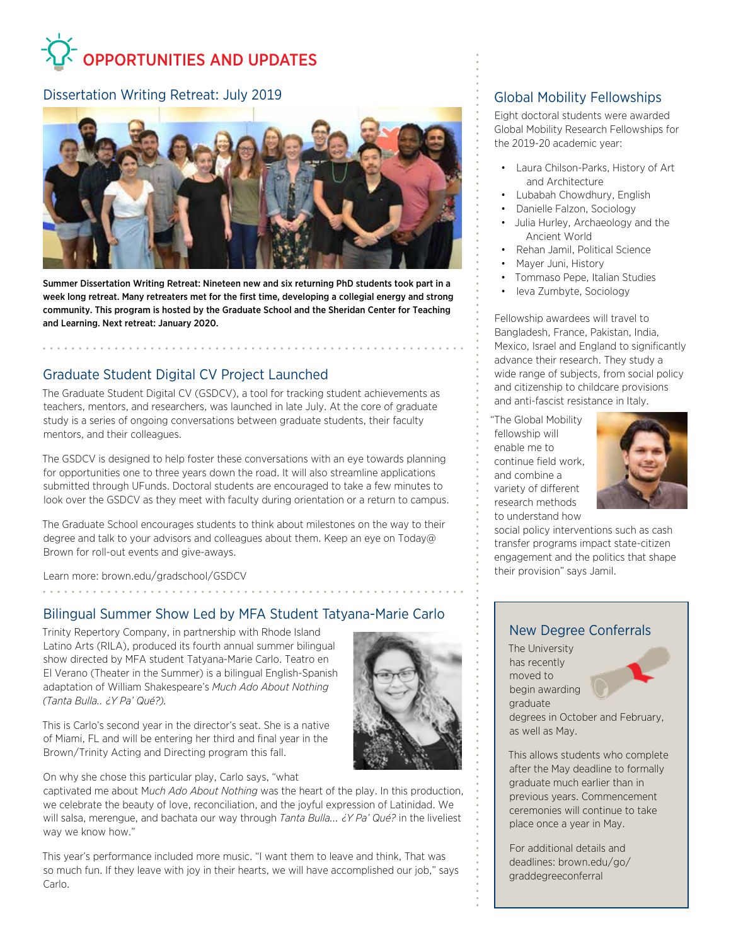# OPPORTUNITIES AND UPDATES

#### Dissertation Writing Retreat: July 2019



Summer Dissertation Writing Retreat: Nineteen new and six returning PhD students took part in a week long retreat. Many retreaters met for the first time, developing a collegial energy and strong community. This program is hosted by the Graduate School and the Sheridan Center for Teaching and Learning. Next retreat: January 2020.

#### Graduate Student Digital CV Project Launched

The Graduate Student Digital CV (GSDCV), a tool for tracking student achievements as teachers, mentors, and researchers, was launched in late July. At the core of graduate study is a series of ongoing conversations between graduate students, their faculty mentors, and their colleagues.

The GSDCV is designed to help foster these conversations with an eye towards planning for opportunities one to three years down the road. It will also streamline applications submitted through UFunds. Doctoral students are encouraged to take a few minutes to look over the GSDCV as they meet with faculty during orientation or a return to campus.

The Graduate School encourages students to think about milestones on the way to their degree and talk to your advisors and colleagues about them. Keep an eye on Today@ Brown for roll-out events and give-aways.

Learn more: brown.edu/gradschool/GSDCV 

#### Bilingual Summer Show Led by MFA Student Tatyana-Marie Carlo

Trinity Repertory Company, in partnership with Rhode Island Latino Arts (RILA), produced its fourth annual summer bilingual show directed by MFA student Tatyana-Marie Carlo. Teatro en El Verano (Theater in the Summer) is a bilingual English-Spanish adaptation of William Shakespeare's *Much Ado About Nothing (Tanta Bulla… ¿Y Pa' Qué?).*

This is Carlo's second year in the director's seat. She is a native of Miami, FL and will be entering her third and final year in the Brown/Trinity Acting and Directing program this fall.

On why she chose this particular play, Carlo says, "what

captivated me about M*uch Ado About Nothing* was the heart of the play. In this production, we celebrate the beauty of love, reconciliation, and the joyful expression of Latinidad. We will salsa, merengue, and bachata our way through *Tanta Bulla... ¿Y Pa' Qué?* in the liveliest way we know how."

This year's performance included more music. "I want them to leave and think, That was so much fun. If they leave with joy in their hearts, we will have accomplished our job," says Carlo.

#### Global Mobility Fellowships

Eight doctoral students were awarded Global Mobility Research Fellowships for the 2019-20 academic year:

- Laura Chilson-Parks, History of Art and Architecture
- Lubabah Chowdhury, English
- Danielle Falzon, Sociology
- Julia Hurley, Archaeology and the Ancient World
- Rehan Jamil, Political Science
- Mayer Juni, History
- Tommaso Pepe, Italian Studies
- Ieva Zumbyte, Sociology

Fellowship awardees will travel to Bangladesh, France, Pakistan, India, Mexico, Israel and England to significantly advance their research. They study a wide range of subjects, from social policy and citizenship to childcare provisions and anti-fascist resistance in Italy.

"The Global Mobility fellowship will enable me to continue field work, and combine a variety of different research methods to understand how



social policy interventions such as cash transfer programs impact state-citizen engagement and the politics that shape their provision" says Jamil.

#### New Degree Conferrals

The University has recently moved to begin awarding graduate



degrees in October and February, as well as May.

This allows students who complete after the May deadline to formally graduate much earlier than in previous years. Commencement ceremonies will continue to take place once a year in May.

For additional details and deadlines: brown.edu/go/ graddegreeconferral

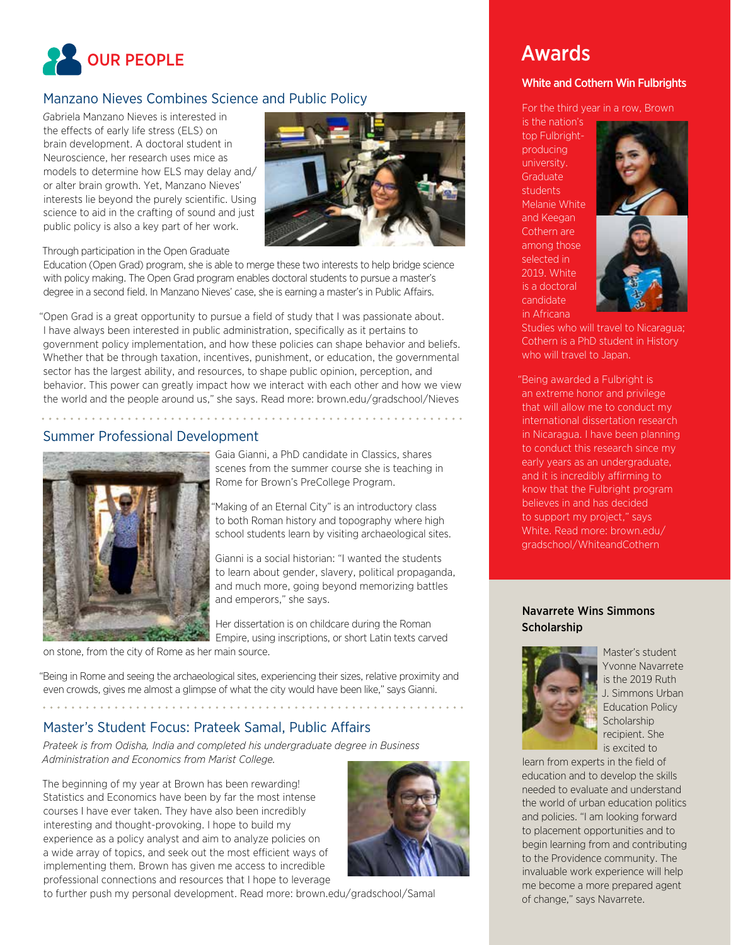

#### Manzano Nieves Combines Science and Public Policy

*G*abriela Manzano Nieves is interested in the effects of early life stress (ELS) on brain development. A doctoral student in Neuroscience, her research uses mice as models to determine how ELS may delay and/ or alter brain growth. Yet, Manzano Nieves' interests lie beyond the purely scientific. Using science to aid in the crafting of sound and just public policy is also a key part of her work.



Through participation in the Open Graduate

Education (Open Grad) program, she is able to merge these two interests to help bridge science with policy making. The Open Grad program enables doctoral students to pursue a master's degree in a second field. In Manzano Nieves' case, she is earning a master's in Public Affairs.

"Open Grad is a great opportunity to pursue a field of study that I was passionate about. I have always been interested in public administration, specifically as it pertains to government policy implementation, and how these policies can shape behavior and beliefs. Whether that be through taxation, incentives, punishment, or education, the governmental sector has the largest ability, and resources, to shape public opinion, perception, and behavior. This power can greatly impact how we interact with each other and how we view the world and the people around us," she says. Read more: brown.edu/gradschool/Nieves

#### Summer Professional Development



Gaia Gianni, a PhD candidate in Classics, shares scenes from the summer course she is teaching in Rome for Brown's PreCollege Program.

"Making of an Eternal City" is an introductory class to both Roman history and topography where high school students learn by visiting archaeological sites.

Gianni is a social historian: "I wanted the students to learn about gender, slavery, political propaganda, and much more, going beyond memorizing battles and emperors," she says.

Her dissertation is on childcare during the Roman Empire, using inscriptions, or short Latin texts carved

on stone, from the city of Rome as her main source.

"Being in Rome and seeing the archaeological sites, experiencing their sizes, relative proximity and even crowds, gives me almost a glimpse of what the city would have been like," says Gianni.

#### Master's Student Focus: Prateek Samal, Public Affairs

*Prateek is from Odisha, India and completed his undergraduate degree in Business Administration and Economics from Marist College.*

The beginning of my year at Brown has been rewarding! Statistics and Economics have been by far the most intense courses I have ever taken. They have also been incredibly interesting and thought-provoking. I hope to build my experience as a policy analyst and aim to analyze policies on a wide array of topics, and seek out the most efficient ways of implementing them. Brown has given me access to incredible professional connections and resources that I hope to leverage



## Awards

#### White and Cothern Win Fulbrights

For the third year in a row, Brown

is the nation's top Fulbrightproducing university. **Graduate** students Melanie White and Keegan Cothern are among those selected in 2019. White is a doctoral candidate in Africana



Studies who will travel to Nicaragua; Cothern is a PhD student in History who will travel to Japan.

"Being awarded a Fulbright is an extreme honor and privilege that will allow me to conduct my international dissertation research in Nicaragua. I have been planning to conduct this research since my early years as an undergraduate, and it is incredibly affirming to know that the Fulbright program believes in and has decided to support my project," says White. Read more: brown.edu/ gradschool/WhiteandCothern

#### Navarrete Wins Simmons Scholarship



Master's student Yvonne Navarrete is the 2019 Ruth J. Simmons Urban Education Policy **Scholarship** recipient. She is excited to

learn from experts in the field of education and to develop the skills needed to evaluate and understand the world of urban education politics and policies. "I am looking forward to placement opportunities and to begin learning from and contributing to the Providence community. The invaluable work experience will help me become a more prepared agent of change," says Navarrete.